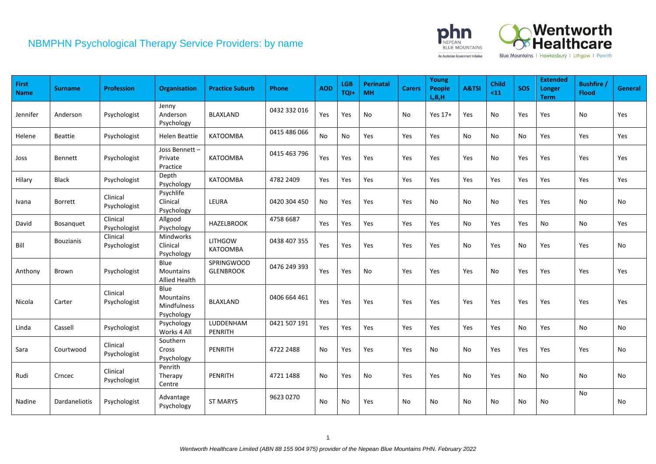

| <b>First</b><br><b>Name</b> | <b>Surname</b>   | <b>Profession</b>        | <b>Organisation</b>                            | <b>Practice Suburb</b>                | <b>Phone</b> | <b>AOD</b> | <b>LGB</b><br>TQI+ | <b>Perinatal</b><br><b>MH</b> | <b>Carers</b> | Young<br>People<br>L, B, H | A&TSI         | <b>Child</b><br>$11$ | <b>SOS</b>                   | <b>Extended</b><br>Longer<br><b>Term</b> | <b>Bushfire</b><br><b>Flood</b> | General   |
|-----------------------------|------------------|--------------------------|------------------------------------------------|---------------------------------------|--------------|------------|--------------------|-------------------------------|---------------|----------------------------|---------------|----------------------|------------------------------|------------------------------------------|---------------------------------|-----------|
| Jennifer                    | Anderson         | Psychologist             | Jenny<br>Anderson<br>Psychology                | <b>BLAXLAND</b>                       | 0432 332 016 | Yes        | Yes                | No                            | No            | Yes 17+                    | Yes           | No                   | Yes                          | Yes                                      | <b>No</b>                       | Yes       |
| Helene                      | <b>Beattie</b>   | Psychologist             | Helen Beattie                                  | KATOOMBA                              | 0415 486 066 | <b>No</b>  | <b>No</b>          | Yes                           | Yes           | Yes                        | No            | No                   | No                           | Yes                                      | Yes                             | Yes       |
| Joss                        | Bennett          | Psychologist             | Joss Bennett-<br>Private<br>Practice           | KATOOMBA                              | 0415 463 796 | Yes        | Yes                | Yes                           | Yes           | Yes                        | Yes           | No                   | Yes                          | Yes                                      | Yes                             | Yes       |
| Hilary                      | Black            | Psychologist             | Depth<br>Psychology                            | KATOOMBA                              | 4782 2409    | Yes        | Yes                | Yes                           | Yes           | Yes                        | Yes           | Yes                  | Yes                          | Yes                                      | Yes                             | Yes       |
| Ivana                       | Borrett          | Clinical<br>Psychologist | Psychlife<br>Clinical<br>Psychology            | LEURA                                 | 0420 304 450 | No         | Yes                | Yes                           | Yes           | No                         | <b>No</b>     | No                   | Yes                          | Yes                                      | No                              | No        |
| David                       | Bosanquet        | Clinical<br>Psychologist | Allgood<br>Psychology                          | <b>HAZELBROOK</b>                     | 4758 6687    | Yes        | Yes                | Yes                           | Yes           | Yes                        | No            | Yes                  | Yes                          | <b>No</b>                                | No                              | Yes       |
| Bill                        | <b>Bouzianis</b> | Clinical<br>Psychologist | <b>Mindworks</b><br>Clinical<br>Psychology     | <b>LITHGOW</b><br>KATOOMBA            | 0438 407 355 | Yes        | Yes                | Yes                           | Yes           | Yes                        | No            | Yes                  | No                           | Yes                                      | Yes                             | No        |
| Anthony                     | Brown            | Psychologist             | Blue<br><b>Mountains</b><br>Allied Health      | <b>SPRINGWOOD</b><br><b>GLENBROOK</b> | 0476 249 393 | Yes        | Yes                | No                            | Yes           | Yes                        | Yes           | No                   | Yes                          | Yes                                      | Yes                             | Yes       |
| Nicola                      | Carter           | Clinical<br>Psychologist | Blue<br>Mountains<br>Mindfulness<br>Psychology | <b>BLAXLAND</b>                       | 0406 664 461 | Yes        | Yes                | Yes                           | Yes           | Yes                        | Yes           | Yes                  | Yes                          | Yes                                      | Yes                             | Yes       |
| Linda                       | Cassell          | Psychologist             | Psychology<br>Works 4 All                      | LUDDENHAM<br>PENRITH                  | 0421 507 191 | Yes        | Yes                | Yes                           | Yes           | Yes                        | Yes           | Yes                  | No                           | Yes                                      | No                              | No        |
| Sara                        | Courtwood        | Clinical<br>Psychologist | Southern<br>Cross<br>Psychology                | PENRITH                               | 4722 2488    | <b>No</b>  | Yes                | Yes                           | Yes           | <b>No</b>                  | <b>No</b>     | Yes                  | Yes                          | Yes                                      | Yes                             | <b>No</b> |
| Rudi                        | Crncec           | Clinical<br>Psychologist | Penrith<br>Therapy<br>Centre                   | <b>PENRITH</b>                        | 4721 1488    | No         | Yes                | No                            | Yes           | Yes                        | No            | Yes                  | No                           | No                                       | No                              | No        |
| Nadine                      | Dardaneliotis    | Psychologist             | Advantage<br>Psychology                        | <b>ST MARYS</b>                       | 9623 0270    | No         | No                 | Yes                           | No            | No                         | $\mathsf{No}$ | No                   | $\operatorname{\mathsf{No}}$ | No                                       | No                              | No        |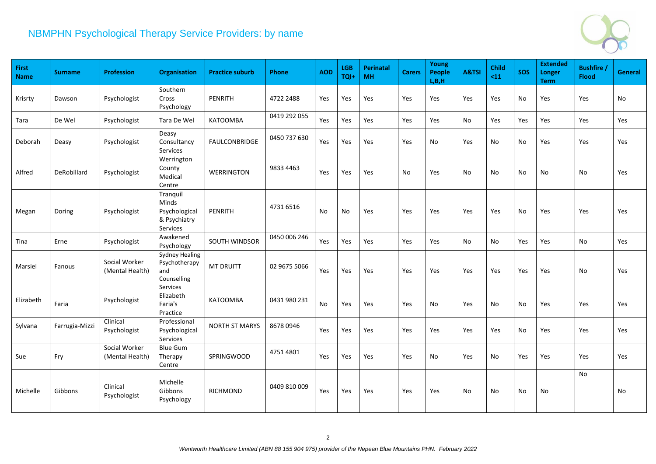

| First<br><b>Name</b> | <b>Surname</b> | <b>Profession</b>                | <b>Organisation</b>                                               | <b>Practice suburb</b> | Phone        | <b>AOD</b> | <b>LGB</b><br>TQI+ | <b>Perinatal</b><br><b>MH</b> | <b>Carers</b> | Young<br><b>People</b><br>L, B, H | A&TSI | <b>Child</b><br>$11$ | <b>SOS</b> | <b>Extended</b><br>Longer<br><b>Term</b> | <b>Bushfire</b><br><b>Flood</b> | General |
|----------------------|----------------|----------------------------------|-------------------------------------------------------------------|------------------------|--------------|------------|--------------------|-------------------------------|---------------|-----------------------------------|-------|----------------------|------------|------------------------------------------|---------------------------------|---------|
| Krisrty              | Dawson         | Psychologist                     | Southern<br>Cross<br>Psychology                                   | <b>PENRITH</b>         | 4722 2488    | Yes        | Yes                | Yes                           | Yes           | Yes                               | Yes   | Yes                  | No         | Yes                                      | Yes                             | No      |
| Tara                 | De Wel         | Psychologist                     | Tara De Wel                                                       | KATOOMBA               | 0419 292 055 | Yes        | Yes                | Yes                           | Yes           | Yes                               | No    | Yes                  | Yes        | Yes                                      | Yes                             | Yes     |
| <b>Deborah</b>       | Deasy          | Psychologist                     | Deasy<br>Consultancy<br>Services                                  | <b>FAULCONBRIDGE</b>   | 0450 737 630 | Yes        | Yes                | Yes                           | Yes           | No                                | Yes   | No                   | No         | Yes                                      | Yes                             | Yes     |
| Alfred               | DeRobillard    | Psychologist                     | Werrington<br>County<br>Medical<br>Centre                         | <b>WERRINGTON</b>      | 9833 4463    | Yes        | Yes                | Yes                           | <b>No</b>     | Yes                               | No    | No                   | No         | No                                       | <b>No</b>                       | Yes     |
| Megan                | Doring         | Psychologist                     | Tranquil<br>Minds<br>Psychological<br>& Psychiatry<br>Services    | PENRITH                | 4731 6516    | No         | No                 | Yes                           | Yes           | Yes                               | Yes   | Yes                  | No         | Yes                                      | Yes                             | Yes     |
| Tina                 | Erne           | Psychologist                     | Awakened<br>Psychology                                            | <b>SOUTH WINDSOR</b>   | 0450 006 246 | Yes        | Yes                | Yes                           | Yes           | Yes                               | No    | No                   | Yes        | Yes                                      | No                              | Yes     |
| Marsiel              | Fanous         | Social Worker<br>(Mental Health) | Sydney Healing<br>Psychotherapy<br>and<br>Counselling<br>Services | <b>MT DRUITT</b>       | 02 9675 5066 | Yes        | Yes                | Yes                           | Yes           | Yes                               | Yes   | Yes                  | Yes        | Yes                                      | No                              | Yes     |
| Elizabeth            | Faria          | Psychologist                     | Elizabeth<br>Faria's<br>Practice                                  | <b>KATOOMBA</b>        | 0431 980 231 | No         | Yes                | Yes                           | Yes           | No                                | Yes   | No                   | No         | Yes                                      | Yes                             | Yes     |
| Sylvana              | Farrugia-Mizzi | Clinical<br>Psychologist         | Professional<br>Psychological<br>Services                         | <b>NORTH ST MARYS</b>  | 8678 0946    | Yes        | Yes                | Yes                           | Yes           | Yes                               | Yes   | Yes                  | No         | Yes                                      | Yes                             | Yes     |
| Sue                  | Fry            | Social Worker<br>(Mental Health) | <b>Blue Gum</b><br>Therapy<br>Centre                              | SPRINGWOOD             | 4751 4801    | Yes        | Yes                | Yes                           | Yes           | No                                | Yes   | No                   | Yes        | Yes                                      | Yes                             | Yes     |
| Michelle             | Gibbons        | Clinical<br>Psychologist         | Michelle<br>Gibbons<br>Psychology                                 | <b>RICHMOND</b>        | 0409 810 009 | Yes        | Yes                | Yes                           | Yes           | Yes                               | No    | No                   | No         | No                                       | <b>No</b>                       | No      |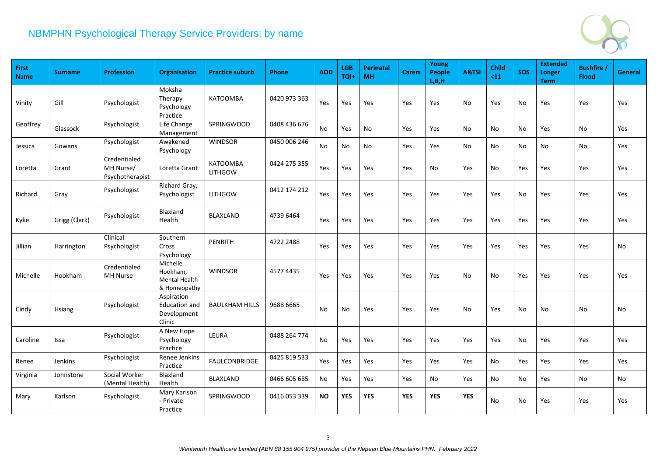

| <b>First</b><br><b>Name</b> | <b>Surname</b> | <b>Profession</b>                            | <b>Organisation</b>                                         | <b>Practice suburb</b>            | <b>Phone</b> | <b>AOD</b> | <b>LGB</b><br>TQI+ | <b>Perinatal</b><br><b>MH</b> | <b>Carers</b> | Young<br><b>People</b><br>L, B, H | A&TSI      | <b>Child</b><br>$11$ | <b>SOS</b> | <b>Extended</b><br>Longer<br><b>Term</b> | <b>Bushfire</b><br><b>Flood</b> | General |
|-----------------------------|----------------|----------------------------------------------|-------------------------------------------------------------|-----------------------------------|--------------|------------|--------------------|-------------------------------|---------------|-----------------------------------|------------|----------------------|------------|------------------------------------------|---------------------------------|---------|
| Vinity                      | Gill           | Psychologist                                 | Moksha<br>Therapy<br>Psychology<br>Practice                 | <b>KATOOMBA</b>                   | 0420 973 363 | Yes        | Yes                | Yes                           | Yes           | Yes                               | No         | Yes                  | No         | Yes                                      | Yes                             | Yes     |
| Geoffrey                    | Glassock       | Psychologist                                 | Life Change<br>Management                                   | SPRINGWOOD                        | 0408 436 676 | No         | Yes                | No                            | Yes           | Yes                               | No         | No.                  | No         | Yes                                      | No                              | Yes     |
| Jessica                     | Gowans         | Psychologist                                 | Awakened<br>Psychology                                      | <b>WINDSOR</b>                    | 0450 006 246 | No         | No                 | No                            | Yes           | Yes                               | No         | No                   | No         | No                                       | No                              | Yes     |
| Loretta                     | Grant          | Credentialed<br>MH Nurse/<br>Psychotherapist | Loretta Grant                                               | <b>KATOOMBA</b><br><b>LITHGOW</b> | 0424 275 355 | Yes        | Yes                | Yes                           | Yes           | No                                | Yes        | No                   | Yes        | Yes                                      | Yes                             | Yes     |
| Richard                     | Gray           | Psychologist                                 | Richard Gray,<br>Psychologist                               | <b>LITHGOW</b>                    | 0412 174 212 | Yes        | Yes                | Yes                           | Yes           | Yes                               | Yes        | Yes                  | No         | Yes                                      | Yes                             | Yes     |
| Kylie                       | Grigg (Clark)  | Psychologist                                 | Blaxland<br>Health                                          | <b>BLAXLAND</b>                   | 4739 6464    | Yes        | Yes                | Yes                           | Yes           | Yes                               | Yes        | Yes                  | Yes        | Yes                                      | Yes                             | Yes     |
| Jillian                     | Harrington     | Clinical<br>Psychologist                     | Southern<br>Cross<br>Psychology                             | <b>PENRITH</b>                    | 4722 2488    | Yes        | Yes                | Yes                           | Yes           | Yes                               | Yes        | Yes                  | Yes        | Yes                                      | Yes                             | No      |
| Michelle                    | <b>Hookham</b> | Credentialed<br><b>MH Nurse</b>              | Michelle<br>Hookham,<br>Mental Health<br>& Homeopathy       | <b>WINDSOR</b>                    | 4577 4435    | Yes        | Yes                | Yes                           | Yes           | Yes                               | No         | No.                  | Yes        | Yes                                      | Yes                             | Yes     |
| Cindy                       | <b>Hsiang</b>  | Psychologist                                 | Aspiration<br><b>Education and</b><br>Development<br>Clinic | <b>BAULKHAM HILLS</b>             | 9688 6665    | No         | No                 | Yes                           | Yes           | Yes                               | No         | Yes                  | No         | No                                       | No                              | No      |
| Caroline                    | Issa           | Psychologist                                 | A New Hope<br>Psychology<br>Practice                        | LEURA                             | 0488 264 774 | No         | Yes                | Yes                           | Yes           | Yes                               | Yes        | Yes                  | No         | Yes                                      | Yes                             | Yes     |
| Renee                       | Jenkins        | Psychologist                                 | Renee Jenkins<br>Practice                                   | <b>FAULCONBRIDGE</b>              | 0425 819 533 | Yes        | Yes                | Yes                           | Yes           | Yes                               | Yes        | No                   | Yes        | Yes                                      | Yes                             | Yes     |
| Virginia                    | Johnstone      | Social Worker<br>(Mental Health)             | Blaxland<br>Health                                          | <b>BLAXLAND</b>                   | 0466 605 685 | No         | Yes                | Yes                           | Yes           | No                                | Yes        | No                   | No         | Yes                                      | No                              | No      |
| Mary                        | Karlson        | Psychologist                                 | Mary Karlson<br>- Private<br>Practice                       | <b>SPRINGWOOD</b>                 | 0416 053 339 | <b>NO</b>  | <b>YES</b>         | <b>YES</b>                    | <b>YES</b>    | <b>YES</b>                        | <b>YES</b> | No                   | No         | Yes                                      | Yes                             | Yes     |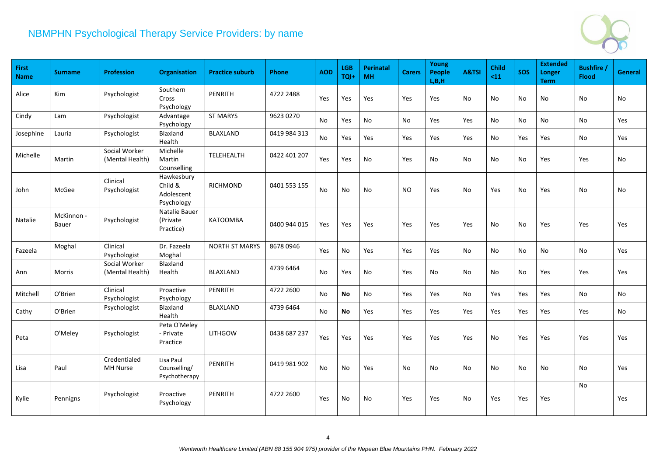

| First<br><b>Name</b> | <b>Surname</b>      | <b>Profession</b>                | Organisation                                      | <b>Practice suburb</b> | Phone        | <b>AOD</b> | <b>LGB</b><br>TQI+ | <b>Perinatal</b><br><b>MH</b> | <b>Carers</b> | Young<br><b>People</b><br>L, B, H | A&TSI | <b>Child</b><br>$11$ | <b>SOS</b> | <b>Extended</b><br>Longer<br><b>Term</b> | <b>Bushfire</b><br><b>Flood</b> | <b>General</b> |
|----------------------|---------------------|----------------------------------|---------------------------------------------------|------------------------|--------------|------------|--------------------|-------------------------------|---------------|-----------------------------------|-------|----------------------|------------|------------------------------------------|---------------------------------|----------------|
| Alice                | Kim                 | Psychologist                     | Southern<br>Cross<br>Psychology                   | PENRITH                | 4722 2488    | Yes        | Yes                | Yes                           | Yes           | Yes                               | No    | No                   | No         | No                                       | No                              | No             |
| Cindy                | Lam                 | Psychologist                     | Advantage<br>Psychology                           | <b>ST MARYS</b>        | 9623 0270    | No         | Yes                | No                            | No            | Yes                               | Yes   | No                   | No         | No                                       | No                              | Yes            |
| Josephine            | Lauria              | Psychologist                     | Blaxland<br>Health                                | <b>BLAXLAND</b>        | 0419 984 313 | No         | Yes                | Yes                           | Yes           | Yes                               | Yes   | No                   | Yes        | Yes                                      | No                              | Yes            |
| Michelle             | Martin              | Social Worker<br>(Mental Health) | Michelle<br>Martin<br>Counselling                 | TELEHEALTH             | 0422 401 207 | Yes        | Yes                | No                            | Yes           | No                                | No    | No                   | No         | Yes                                      | Yes                             | No             |
| John                 | McGee               | Clinical<br>Psychologist         | Hawkesbury<br>Child &<br>Adolescent<br>Psychology | RICHMOND               | 0401 553 155 | No         | No                 | No                            | NO.           | Yes                               | No.   | Yes                  | No         | Yes                                      | No                              | No             |
| Natalie              | McKinnon -<br>Bauer | Psychologist                     | Natalie Bauer<br>(Private<br>Practice)            | <b>KATOOMBA</b>        | 0400 944 015 | Yes        | Yes                | Yes                           | <b>Yes</b>    | Yes                               | Yes   | No                   | No         | Yes                                      | Yes                             | Yes            |
| Fazeela              | Moghal              | Clinical<br>Psychologist         | Dr. Fazeela<br>Moghal                             | <b>NORTH ST MARYS</b>  | 8678 0946    | Yes        | No                 | Yes                           | Yes           | Yes                               | No.   | No.                  | No         | No                                       | No                              | Yes            |
| Ann                  | <b>Morris</b>       | Social Worker<br>(Mental Health) | Blaxland<br>Health                                | <b>BLAXLAND</b>        | 4739 6464    | No         | Yes                | No                            | Yes           | No                                | No    | No                   | No         | Yes                                      | Yes                             | Yes            |
| Mitchell             | O'Brien             | Clinical<br>Psychologist         | Proactive<br>Psychology                           | PENRITH                | 4722 2600    | No         | <b>No</b>          | No                            | Yes           | Yes                               | No    | Yes                  | Yes        | Yes                                      | No                              | No             |
| Cathy                | O'Brien             | Psychologist                     | Blaxland<br>Health                                | BLAXLAND               | 4739 6464    | No         | <b>No</b>          | Yes                           | Yes           | Yes                               | Yes   | Yes                  | Yes        | Yes                                      | Yes                             | No             |
| Peta                 | O'Meley             | Psychologist                     | Peta O'Meley<br>- Private<br>Practice             | <b>LITHGOW</b>         | 0438 687 237 | Yes        | Yes                | Yes                           | Yes           | Yes                               | Yes   | No                   | Yes        | <b>Yes</b>                               | Yes                             | Yes            |
| Lisa                 | Paul                | Credentialed<br><b>MH Nurse</b>  | Lisa Paul<br>Counselling/<br>Psychotherapy        | <b>PENRITH</b>         | 0419 981 902 | <b>No</b>  | <b>No</b>          | Yes                           | No            | No                                | No    | No                   | No         | No                                       | <b>No</b>                       | Yes            |
| Kylie                | Pennigns            | Psychologist                     | Proactive<br>Psychology                           | <b>PENRITH</b>         | 4722 2600    | Yes        | No                 | No                            | <b>Yes</b>    | Yes                               | No.   | Yes                  | Yes        | Yes                                      | <b>No</b>                       | Yes            |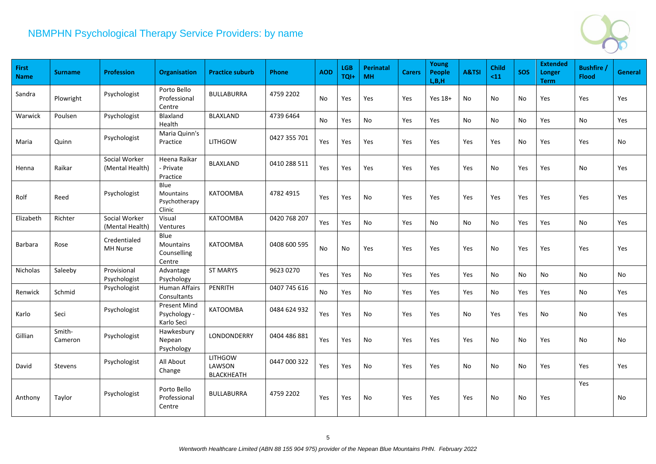

| First<br><b>Name</b> | <b>Surname</b>    | <b>Profession</b>                | Organisation                                        | <b>Practice suburb</b>                        | Phone        | <b>AOD</b> | <b>LGB</b><br>TQI+ | <b>Perinatal</b><br><b>MH</b> | <b>Carers</b> | Young<br><b>People</b><br>L, B, H | A&TSI | <b>Child</b><br>$11$ | <b>SOS</b> | <b>Extended</b><br>Longer<br><b>Term</b> | <b>Bushfire</b><br><b>Flood</b> | General |
|----------------------|-------------------|----------------------------------|-----------------------------------------------------|-----------------------------------------------|--------------|------------|--------------------|-------------------------------|---------------|-----------------------------------|-------|----------------------|------------|------------------------------------------|---------------------------------|---------|
| Sandra               | Plowright         | Psychologist                     | Porto Bello<br>Professional<br>Centre               | <b>BULLABURRA</b>                             | 4759 2202    | No         | Yes                | Yes                           | Yes           | Yes 18+                           | No    | No                   | No         | Yes                                      | Yes                             | Yes     |
| Warwick              | Poulsen           | Psychologist                     | Blaxland<br>Health                                  | <b>BLAXLAND</b>                               | 4739 6464    | No         | Yes                | No                            | Yes           | Yes                               | No    | No                   | No         | Yes                                      | <b>No</b>                       | Yes     |
| Maria                | Quinn             | Psychologist                     | Maria Quinn's<br>Practice                           | <b>LITHGOW</b>                                | 0427 355 701 | Yes        | Yes                | Yes                           | Yes           | Yes                               | Yes   | Yes                  | No         | Yes                                      | Yes                             | No      |
| Henna                | Raikar            | Social Worker<br>(Mental Health) | Heena Raikar<br>- Private<br>Practice               | <b>BLAXLAND</b>                               | 0410 288 511 | Yes        | Yes                | Yes                           | Yes           | Yes                               | Yes   | No                   | Yes        | Yes                                      | <b>No</b>                       | Yes     |
| Rolf                 | Reed              | Psychologist                     | Blue<br><b>Mountains</b><br>Psychotherapy<br>Clinic | KATOOMBA                                      | 4782 4915    | Yes        | Yes                | No                            | Yes           | Yes                               | Yes   | Yes                  | Yes        | Yes                                      | Yes                             | Yes     |
| Elizabeth            | Richter           | Social Worker<br>(Mental Health) | Visual<br>Ventures                                  | <b>KATOOMBA</b>                               | 0420 768 207 | Yes        | Yes                | No                            | Yes           | No                                | No    | No                   | Yes        | Yes                                      | <b>No</b>                       | Yes     |
| <b>Barbara</b>       | Rose              | Credentialed<br><b>MH Nurse</b>  | Blue<br>Mountains<br>Counselling<br>Centre          | <b>KATOOMBA</b>                               | 0408 600 595 | No         | No                 | Yes                           | Yes           | Yes                               | Yes   | No                   | Yes        | Yes                                      | Yes                             | Yes     |
| Nicholas             | Saleeby           | Provisional<br>Psychologist      | Advantage<br>Psychology                             | <b>ST MARYS</b>                               | 9623 0270    | Yes        | Yes                | No                            | Yes           | Yes                               | Yes   | No                   | No         | No                                       | No                              | No      |
| Renwick              | Schmid            | Psychologist                     | <b>Human Affairs</b><br>Consultants                 | PENRITH                                       | 0407 745 616 | No         | Yes                | No                            | Yes           | Yes                               | Yes   | No                   | Yes        | Yes                                      | No                              | Yes     |
| Karlo                | Seci              | Psychologist                     | <b>Present Mind</b><br>Psychology -<br>Karlo Seci   | <b>KATOOMBA</b>                               | 0484 624 932 | Yes        | Yes                | No                            | Yes           | Yes                               | No    | Yes                  | Yes        | No                                       | No                              | Yes     |
| Gillian              | Smith-<br>Cameron | Psychologist                     | Hawkesbury<br>Nepean<br>Psychology                  | LONDONDERRY                                   | 0404 486 881 | Yes        | Yes                | No                            | Yes           | Yes                               | Yes   | No                   | No         | Yes                                      | <b>No</b>                       | No      |
| David                | Stevens           | Psychologist                     | All About<br>Change                                 | <b>LITHGOW</b><br>LAWSON<br><b>BLACKHEATH</b> | 0447 000 322 | Yes        | Yes                | No                            | Yes           | Yes                               | No    | No.                  | No         | Yes                                      | Yes                             | Yes     |
| Anthony              | Taylor            | Psychologist                     | Porto Bello<br>Professional<br>Centre               | <b>BULLABURRA</b>                             | 4759 2202    | Yes        | Yes                | No                            | Yes           | Yes                               | Yes   | No                   | No         | Yes                                      | Yes                             | No      |